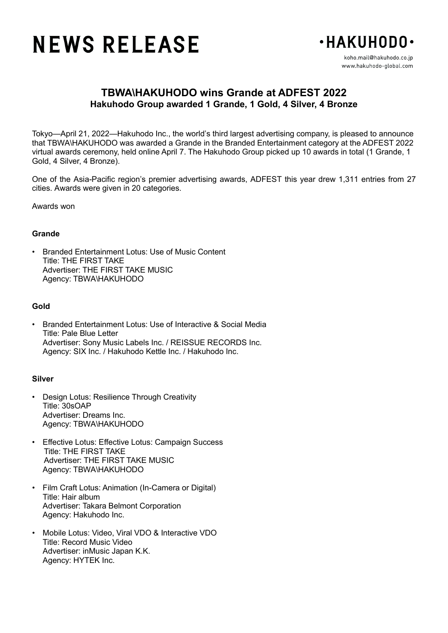# **NEWS RELEASE**



www.hakuhodo-global.com

## **TBWA\HAKUHODO wins Grande at ADFEST 2022 Hakuhodo Group awarded 1 Grande, 1 Gold, 4 Silver, 4 Bronze**

Tokyo—April 21, 2022—Hakuhodo Inc., the world's third largest advertising company, is pleased to announce that TBWA\HAKUHODO was awarded a Grande in the Branded Entertainment category at the ADFEST 2022 virtual awards ceremony, held online April 7. The Hakuhodo Group picked up 10 awards in total (1 Grande, 1 Gold, 4 Silver, 4 Bronze).

One of the Asia-Pacific region's premier advertising awards, ADFEST this year drew 1,311 entries from 27 cities. Awards were given in 20 categories.

Awards won

#### **Grande**

• Branded Entertainment Lotus: Use of Music Content Title: THE FIRST TAKE Advertiser: THE FIRST TAKE MUSIC Agency: TBWA\HAKUHODO

### **Gold**

• Branded Entertainment Lotus: Use of Interactive & Social Media Title: Pale Blue Letter Advertiser: Sony Music Labels Inc. / REISSUE RECORDS Inc. Agency: SIX Inc. / Hakuhodo Kettle Inc. / Hakuhodo Inc.

#### **Silver**

- Design Lotus: Resilience Through Creativity Title: 30sOAP Advertiser: Dreams Inc. Agency: TBWA\HAKUHODO
- Effective Lotus: Effective Lotus: Campaign Success Title: THE FIRST TAKE Advertiser: THE FIRST TAKE MUSIC Agency: TBWA\HAKUHODO
- Film Craft Lotus: Animation (In-Camera or Digital) Title: Hair album Advertiser: Takara Belmont Corporation Agency: Hakuhodo Inc.
- Mobile Lotus: Video, Viral VDO & Interactive VDO Title: Record Music Video Advertiser: inMusic Japan K.K. Agency: HYTEK Inc.